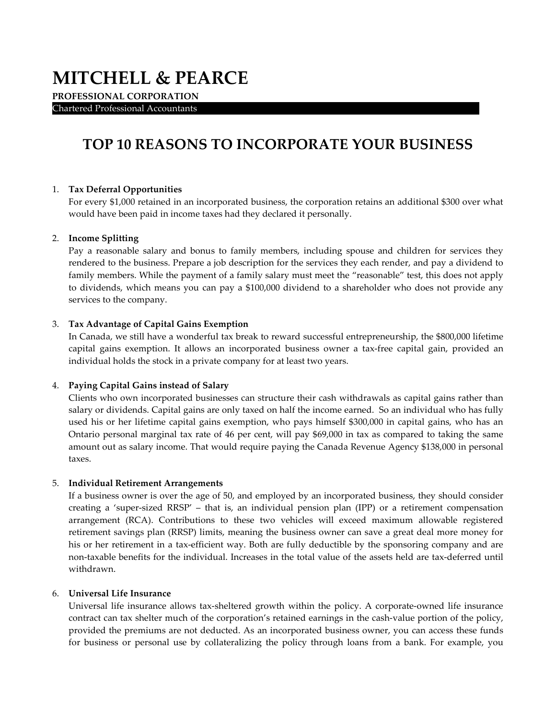# **MITCHELL & PEARCE**

**PROFESSIONAL CORPORATION**  Chartered Professional Accountants .

# **TOP 10 REASONS TO INCORPORATE YOUR BUSINESS**

# 1. **Tax Deferral Opportunities**

For every \$1,000 retained in an incorporated business, the corporation retains an additional \$300 over what would have been paid in income taxes had they declared it personally.

#### 2. **Income Splitting**

Pay a reasonable salary and bonus to family members, including spouse and children for services they rendered to the business. Prepare a job description for the services they each render, and pay a dividend to family members. While the payment of a family salary must meet the "reasonable" test, this does not apply to dividends, which means you can pay a \$100,000 dividend to a shareholder who does not provide any services to the company.

#### 3. **Tax Advantage of Capital Gains Exemption**

In Canada, we still have a wonderful tax break to reward successful entrepreneurship, the \$800,000 lifetime capital gains exemption. It allows an incorporated business owner a tax-free capital gain, provided an individual holds the stock in a private company for at least two years.

#### 4. **Paying Capital Gains instead of Salary**

Clients who own incorporated businesses can structure their cash withdrawals as capital gains rather than salary or dividends. Capital gains are only taxed on half the income earned. So an individual who has fully used his or her lifetime capital gains exemption, who pays himself \$300,000 in capital gains, who has an Ontario personal marginal tax rate of 46 per cent, will pay \$69,000 in tax as compared to taking the same amount out as salary income. That would require paying the Canada Revenue Agency \$138,000 in personal taxes.

#### 5. **Individual Retirement Arrangements**

If a business owner is over the age of 50, and employed by an incorporated business, they should consider creating a 'super-sized RRSP' – that is, an individual pension plan (IPP) or a retirement compensation arrangement (RCA). Contributions to these two vehicles will exceed maximum allowable registered retirement savings plan (RRSP) limits, meaning the business owner can save a great deal more money for his or her retirement in a tax-efficient way. Both are fully deductible by the sponsoring company and are non-taxable benefits for the individual. Increases in the total value of the assets held are tax-deferred until withdrawn.

#### 6. **Universal Life Insurance**

Universal life insurance allows tax-sheltered growth within the policy. A corporate-owned life insurance contract can tax shelter much of the corporation's retained earnings in the cash-value portion of the policy, provided the premiums are not deducted. As an incorporated business owner, you can access these funds for business or personal use by collateralizing the policy through loans from a bank. For example, you